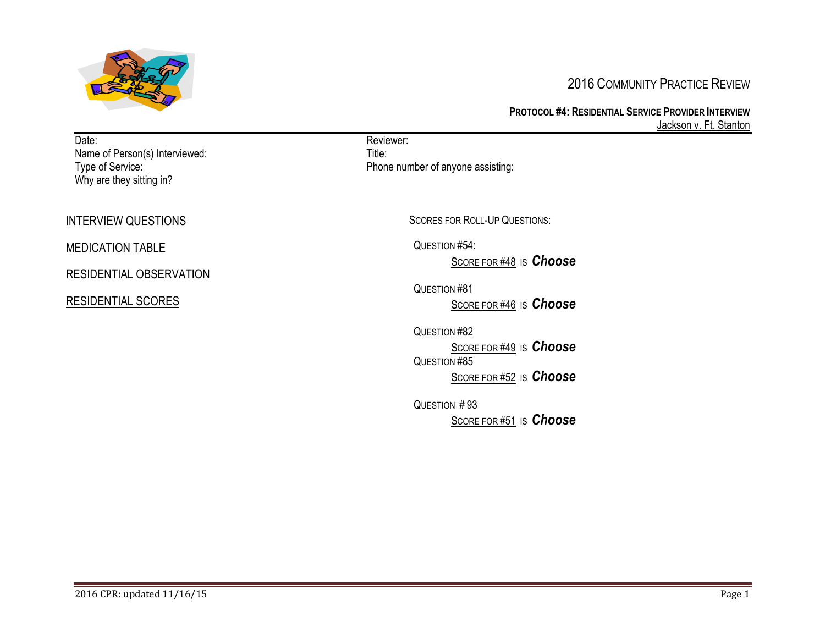

# 2016 COMMUNITY PRACTICE REVIEW

**PROTOCOL #4: RESIDENTIAL SERVICE PROVIDER INTERVIEW** Jackson v. Ft. Stanton

| Date:<br>Name of Person(s) Interviewed:<br>Type of Service:<br>Why are they sitting in? | Reviewer:<br>Title:<br>Phone number of anyone assisting:                           |
|-----------------------------------------------------------------------------------------|------------------------------------------------------------------------------------|
| <b>INTERVIEW QUESTIONS</b>                                                              | <b>SCORES FOR ROLL-UP QUESTIONS:</b>                                               |
| <b>MEDICATION TABLE</b>                                                                 | QUESTION #54:                                                                      |
| RESIDENTIAL OBSERVATION                                                                 | SCORE FOR #48 IS Choose                                                            |
| <b>RESIDENTIAL SCORES</b>                                                               | QUESTION #81<br>SCORE FOR #46 IS Choose                                            |
|                                                                                         | QUESTION #82<br>SCORE FOR #49 IS Choose<br>QUESTION #85<br>SCORE FOR #52 IS Choose |
|                                                                                         | QUESTION #93<br>SCORE FOR #51 IS Choose                                            |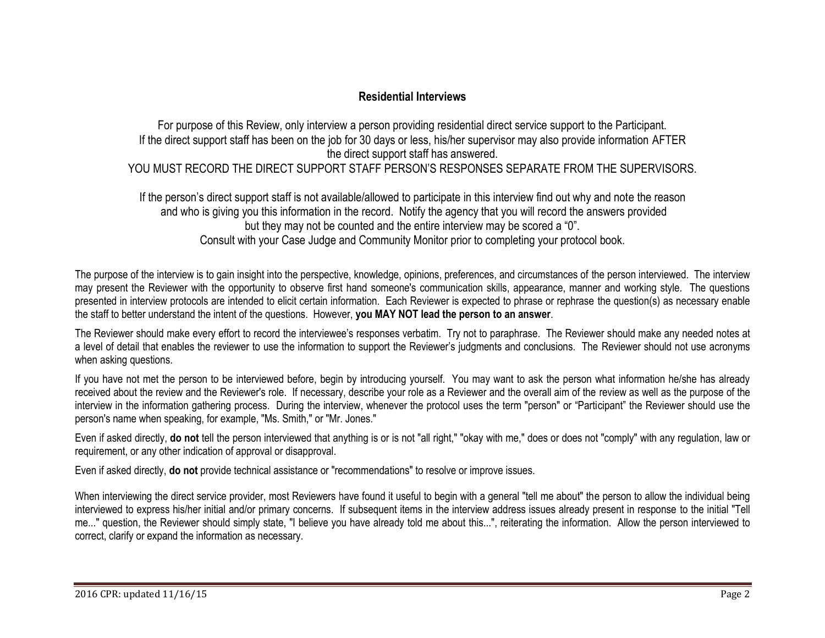## **Residential Interviews**

For purpose of this Review, only interview a person providing residential direct service support to the Participant. If the direct support staff has been on the job for 30 days or less, his/her supervisor may also provide information AFTER the direct support staff has answered. YOU MUST RECORD THE DIRECT SUPPORT STAFF PERSON'S RESPONSES SEPARATE FROM THE SUPERVISORS.

If the person's direct support staff is not available/allowed to participate in this interview find out why and note the reason and who is giving you this information in the record. Notify the agency that you will record the answers provided but they may not be counted and the entire interview may be scored a "0". Consult with your Case Judge and Community Monitor prior to completing your protocol book.

The purpose of the interview is to gain insight into the perspective, knowledge, opinions, preferences, and circumstances of the person interviewed. The interview may present the Reviewer with the opportunity to observe first hand someone's communication skills, appearance, manner and working style. The questions presented in interview protocols are intended to elicit certain information. Each Reviewer is expected to phrase or rephrase the question(s) as necessary enable the staff to better understand the intent of the questions. However, **you MAY NOT lead the person to an answer**.

The Reviewer should make every effort to record the interviewee's responses verbatim. Try not to paraphrase. The Reviewer should make any needed notes at a level of detail that enables the reviewer to use the information to support the Reviewer's judgments and conclusions. The Reviewer should not use acronyms when asking questions.

If you have not met the person to be interviewed before, begin by introducing yourself. You may want to ask the person what information he/she has already received about the review and the Reviewer's role. If necessary, describe your role as a Reviewer and the overall aim of the review as well as the purpose of the interview in the information gathering process. During the interview, whenever the protocol uses the term "person" or "Participant" the Reviewer should use the person's name when speaking, for example, "Ms. Smith," or "Mr. Jones."

Even if asked directly, **do not** tell the person interviewed that anything is or is not "all right," "okay with me," does or does not "comply" with any regulation, law or requirement, or any other indication of approval or disapproval.

Even if asked directly, **do not** provide technical assistance or "recommendations" to resolve or improve issues.

When interviewing the direct service provider, most Reviewers have found it useful to begin with a general "tell me about" the person to allow the individual being interviewed to express his/her initial and/or primary concerns. If subsequent items in the interview address issues already present in response to the initial "Tell me..." question, the Reviewer should simply state, "I believe you have already told me about this...", reiterating the information. Allow the person interviewed to correct, clarify or expand the information as necessary.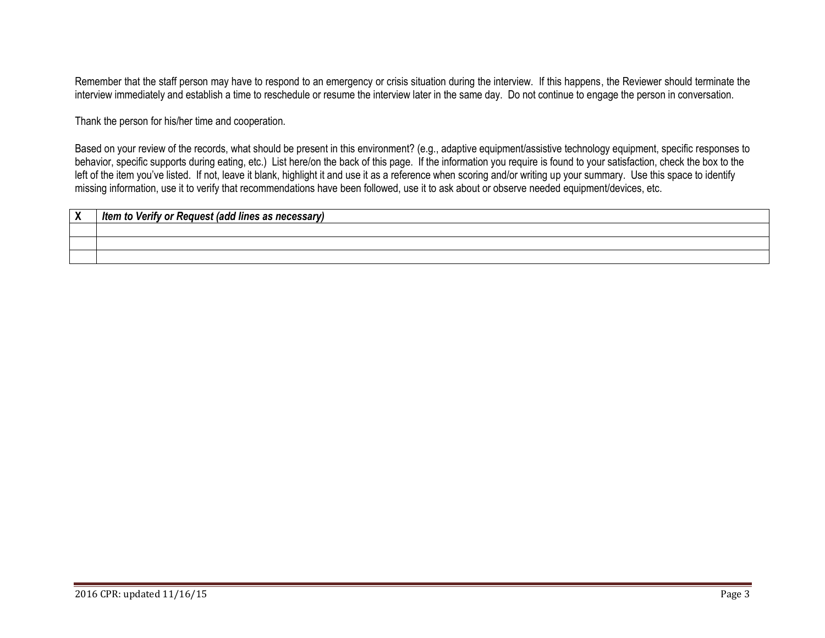Remember that the staff person may have to respond to an emergency or crisis situation during the interview. If this happens, the Reviewer should terminate the interview immediately and establish a time to reschedule or resume the interview later in the same day. Do not continue to engage the person in conversation.

Thank the person for his/her time and cooperation.

Based on your review of the records, what should be present in this environment? (e.g., adaptive equipment/assistive technology equipment, specific responses to behavior, specific supports during eating, etc.) List here/on the back of this page. If the information you require is found to your satisfaction, check the box to the left of the item you've listed. If not, leave it blank, highlight it and use it as a reference when scoring and/or writing up your summary. Use this space to identify missing information, use it to verify that recommendations have been followed, use it to ask about or observe needed equipment/devices, etc.

| $\mathbf{v}$<br>$\mathbf{v}$ | Item to Verify or Request (add lines as necessary) |
|------------------------------|----------------------------------------------------|
|                              |                                                    |
|                              |                                                    |
|                              |                                                    |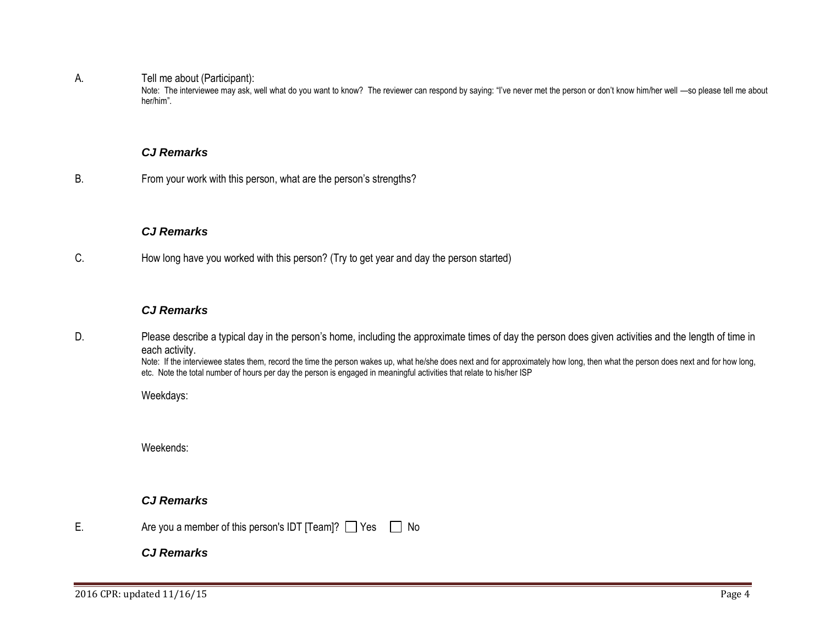A. Tell me about (Participant):

Note: The interviewee may ask, well what do you want to know? The reviewer can respond by saying: "I've never met the person or don't know him/her well —so please tell me about her/him".

#### <span id="page-3-0"></span>*CJ Remarks*

B. From your work with this person, what are the person's strengths?

## *CJ Remarks*

C. How long have you worked with this person? (Try to get year and day the person started)

## *CJ Remarks*

D. Please describe a typical day in the person's home, including the approximate times of day the person does given activities and the length of time in each activity.

Note: If the interviewee states them, record the time the person wakes up, what he/she does next and for approximately how long, then what the person does next and for how long, etc. Note the total number of hours per day the person is engaged in meaningful activities that relate to his/her ISP

Weekdays:

Weekends:

## *CJ Remarks*

E. Are you a member of this person's IDT  $\lceil$  Team $\rceil$ ?  $\lceil$  Yes  $\lceil$  No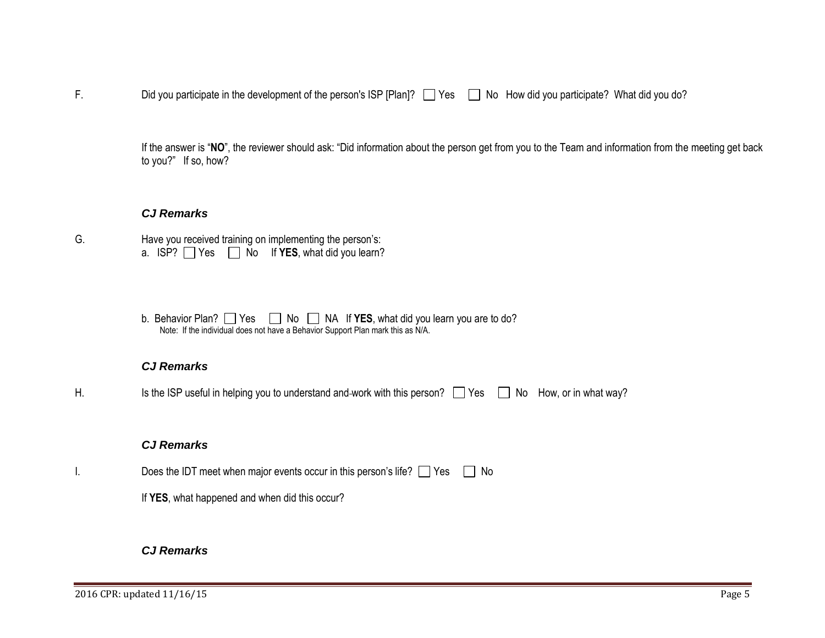F. Did you participate in the development of the person's ISP [Plan]?  $\Box$  Yes  $\Box$  No How did you participate? What did you do?

If the answer is "**NO**", the reviewer should ask: "Did information about the person get from you to the Team and information from the meeting get back to you?" If so, how?

#### *CJ Remarks*

- G. Have you received training on implementing the person's: a.  $ISP?$   $\Box$  Yes  $\Box$  No If **YES**, what did you learn?
	- b. Behavior Plan? Ses Ses No A If **YES**, what did you learn you are to do? Note: If the individual does not have a Behavior Support Plan mark this as N/A.

#### *CJ Remarks*

H. Is the ISP useful in helping you to understand and work with this person?  $\Box$  Yes  $\Box$  No How, or in what way?

## *CJ Remarks*

- I. Does the IDT meet when major events occur in this person's life?  $\Box$  Yes  $\Box$  No
	- If **YES**, what happened and when did this occur?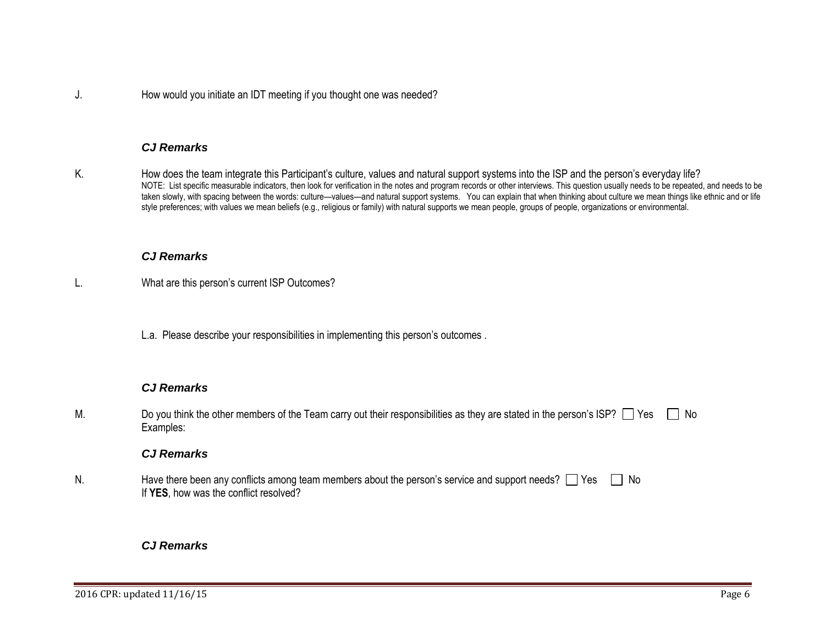J. How would you initiate an IDT meeting if you thought one was needed?

## *CJ Remarks*

K. How does the team integrate this Participant's culture, values and natural support systems into the ISP and the person's everyday life? NOTE: List specific measurable indicators, then look for verification in the notes and program records or other interviews. This question usually needs to be repeated, and needs to be taken slowly, with spacing between the words: culture—values—and natural support systems. You can explain that when thinking about culture we mean things like ethnic and or life style preferences; with values we mean beliefs (e.g., religious or family) with natural supports we mean people, groups of people, organizations or environmental.

#### *CJ Remarks*

- L. What are this person's current ISP Outcomes?
	- L.a. Please describe your responsibilities in implementing this person's outcomes .

#### *CJ Remarks*

M. Do you think the other members of the Team carry out their responsibilities as they are stated in the person's ISP?  $\Box$  Yes  $\Box$  No Examples:

#### *CJ Remarks*

N. Have there been any conflicts among team members about the person's service and support needs?  $\Box$  Yes  $\Box$  No If **YES**, how was the conflict resolved?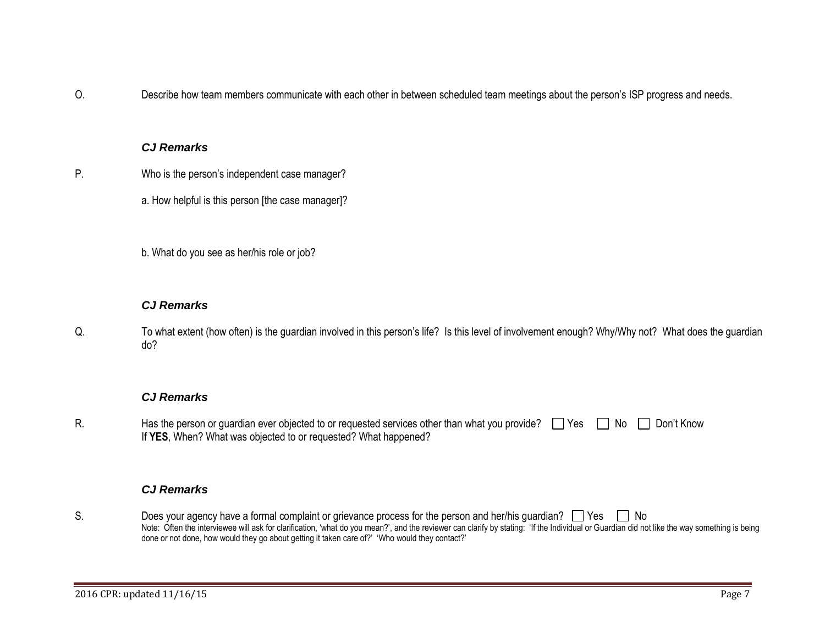O. Describe how team members communicate with each other in between scheduled team meetings about the person's ISP progress and needs.

## *CJ Remarks*

- P. Who is the person's independent case manager?
	- a. How helpful is this person [the case manager]?
	- b. What do you see as her/his role or job?

## *CJ Remarks*

Q. To what extent (how often) is the guardian involved in this person's life? Is this level of involvement enough? Why/Why not? What does the guardian do?

## *CJ Remarks*

R. Has the person or guardian ever objected to or requested services other than what you provide?  $\Box$  Yes  $\Box$  No  $\Box$  Don't Know If **YES**, When? What was objected to or requested? What happened?

## *CJ Remarks*

S. Does your agency have a formal complaint or grievance process for the person and her/his guardian?  $\Box$  Yes  $\Box$  No Note: Often the interviewee will ask for clarification, 'what do you mean?', and the reviewer can clarify by stating: 'If the Individual or Guardian did not like the way something is being done or not done, how would they go about getting it taken care of?' 'Who would they contact?'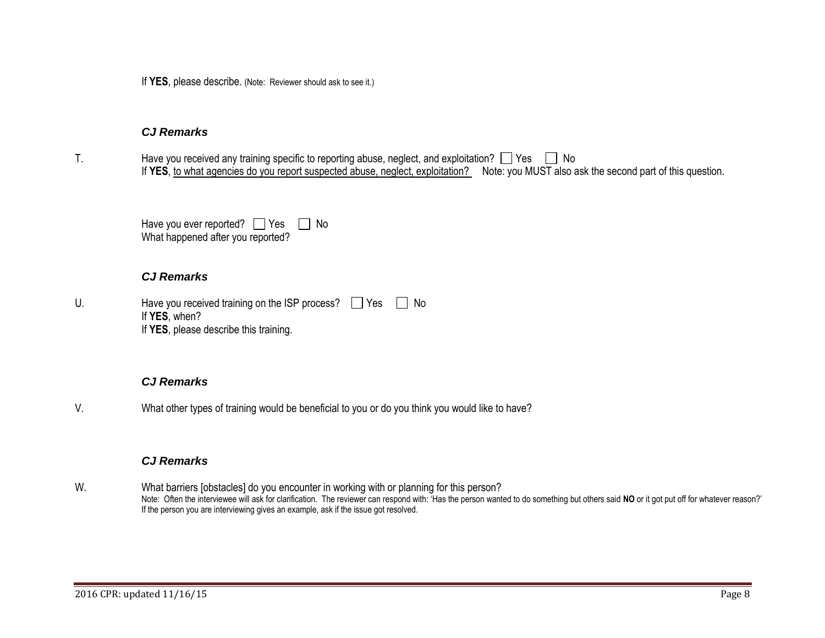If **YES**, please describe. (Note: Reviewer should ask to see it.)

#### *CJ Remarks*

T. Have you received any training specific to reporting abuse, neglect, and exploitation?  $\Box$  Yes  $\Box$  No If YES, to what agencies do you report suspected abuse, neglect, exploitation? Note: you MUST also ask the second part of this question.

| Have you ever reported? $\Box$ Yes | $\Box$ No |  |
|------------------------------------|-----------|--|
| What happened after you reported?  |           |  |

## *CJ Remarks*

| U. | Have you received training on the ISP process?     Yes     No |  |
|----|---------------------------------------------------------------|--|
|    | If YES, when?                                                 |  |
|    | If YES, please describe this training.                        |  |

## *CJ Remarks*

V. What other types of training would be beneficial to you or do you think you would like to have?

## *CJ Remarks*

W. What barriers [obstacles] do you encounter in working with or planning for this person? Note: Often the interviewee will ask for clarification. The reviewer can respond with: 'Has the person wanted to do something but others said NO or it got put off for whatever reason?' If the person you are interviewing gives an example, ask if the issue got resolved.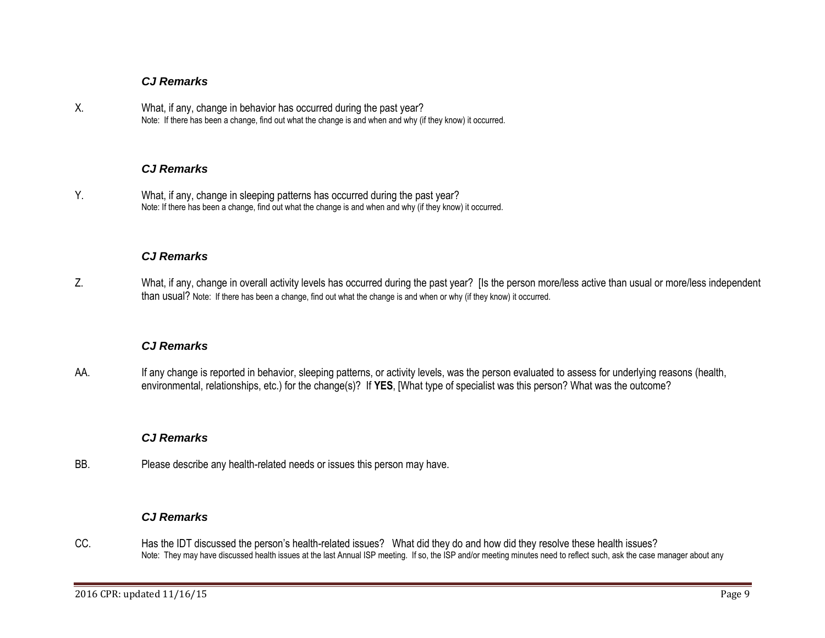## *CJ Remarks*

X. What, if any, change in behavior has occurred during the past year? Note: If there has been a change, find out what the change is and when and why (if they know) it occurred.

## *CJ Remarks*

Y. What, if any, change in sleeping patterns has occurred during the past year? Note: If there has been a change, find out what the change is and when and why (if they know) it occurred.

## *CJ Remarks*

Z. What, if any, change in overall activity levels has occurred during the past year? [Is the person more/less active than usual or more/less independent than usual? Note: If there has been a change, find out what the change is and when or why (if they know) it occurred.

## *CJ Remarks*

AA. If any change is reported in behavior, sleeping patterns, or activity levels, was the person evaluated to assess for underlying reasons (health, environmental, relationships, etc.) for the change(s)? If **YES**, [What type of specialist was this person? What was the outcome?

## *CJ Remarks*

BB. Please describe any health-related needs or issues this person may have.

## *CJ Remarks*

CC. Has the IDT discussed the person's health-related issues? What did they do and how did they resolve these health issues? Note: They may have discussed health issues at the last Annual ISP meeting. If so, the ISP and/or meeting minutes need to reflect such, ask the case manager about any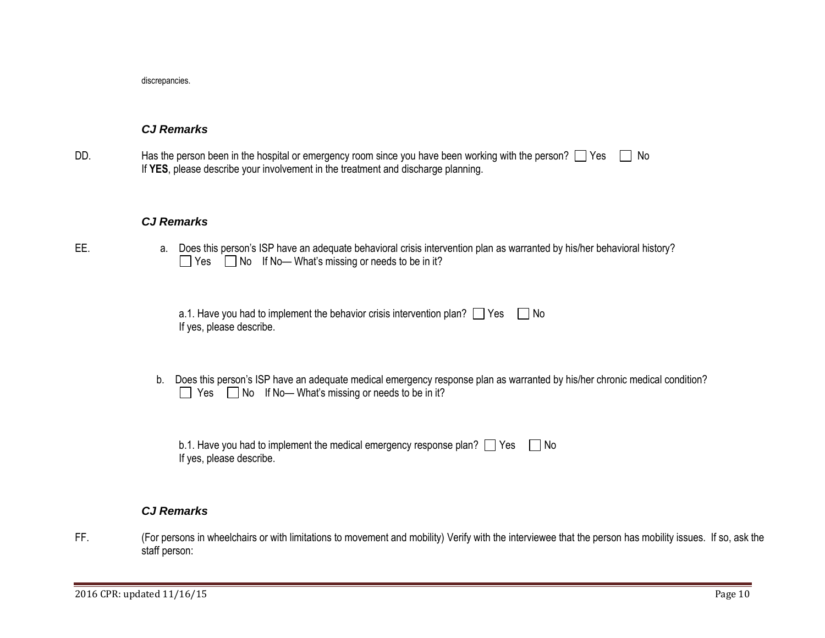discrepancies.

## *CJ Remarks*

DD. Has the person been in the hospital or emergency room since you have been working with the person?  $\Box$  Yes  $\Box$  No If **YES**, please describe your involvement in the treatment and discharge planning.

#### *CJ Remarks*

EE. and a. Does this person's ISP have an adequate behavioral crisis intervention plan as warranted by his/her behavioral history? Yes  $\Box$  No If No— What's missing or needs to be in it?

| a.1. Have you had to implement the behavior crisis intervention plan? $\Box$ Yes $\Box$ No |  |
|--------------------------------------------------------------------------------------------|--|
| If yes, please describe.                                                                   |  |

b. Does this person's ISP have an adequate medical emergency response plan as warranted by his/her chronic medical condition?  $\Box$  Yes  $\Box$  No If No— What's missing or needs to be in it?

| b.1. Have you had to implement the medical emergency response plan? $\Box$ Yes $\Box$ No |  |
|------------------------------------------------------------------------------------------|--|
| If yes, please describe.                                                                 |  |

#### *CJ Remarks*

FF. (For persons in wheelchairs or with limitations to movement and mobility) Verify with the interviewee that the person has mobility issues. If so, ask the staff person: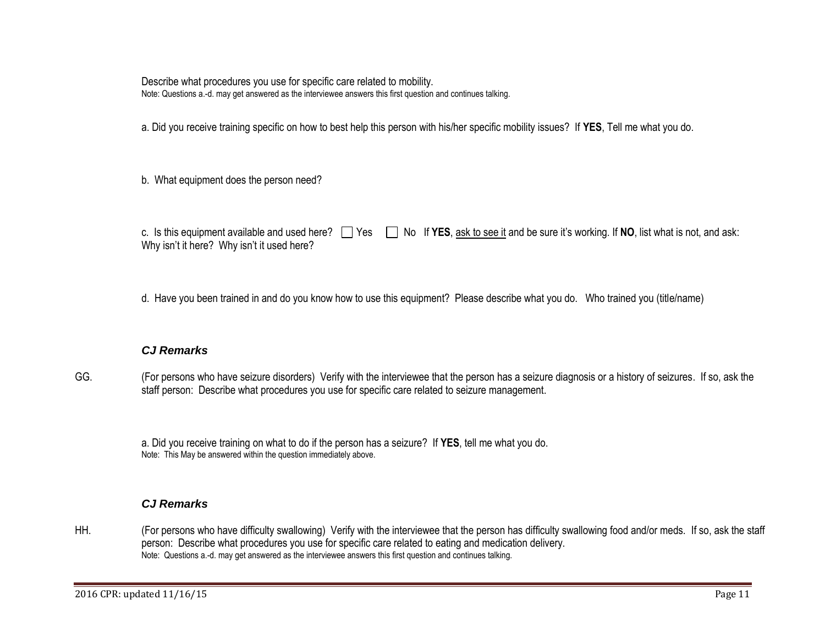Describe what procedures you use for specific care related to mobility. Note: Questions a.-d. may get answered as the interviewee answers this first question and continues talking.

a. Did you receive training specific on how to best help this person with his/her specific mobility issues? If **YES**, Tell me what you do.

b. What equipment does the person need?

c. Is this equipment available and used here?  $\Box$  Yes  $\Box$  No If **YES**, ask to see it and be sure it's working. If **NO**, list what is not, and ask: Why isn't it here? Why isn't it used here?

d. Have you been trained in and do you know how to use this equipment? Please describe what you do. Who trained you (title/name)

## *CJ Remarks*

GG. (For persons who have seizure disorders) Verify with the interviewee that the person has a seizure diagnosis or a history of seizures. If so, ask the staff person: Describe what procedures you use for specific care related to seizure management.

a. Did you receive training on what to do if the person has a seizure? If **YES**, tell me what you do. Note: This May be answered within the question immediately above.

## *CJ Remarks*

HH. (For persons who have difficulty swallowing) Verify with the interviewee that the person has difficulty swallowing food and/or meds. If so, ask the staff person: Describe what procedures you use for specific care related to eating and medication delivery. Note: Questions a.-d. may get answered as the interviewee answers this first question and continues talking.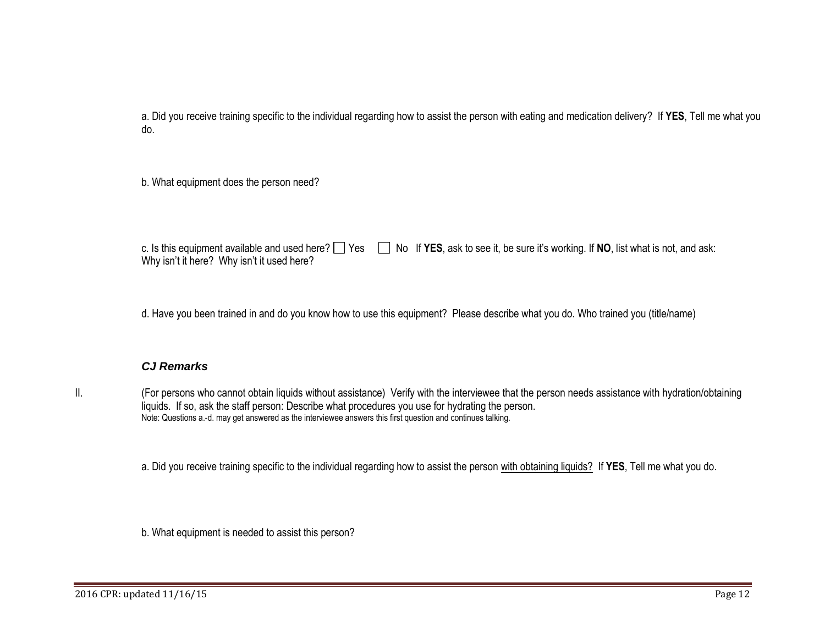a. Did you receive training specific to the individual regarding how to assist the person with eating and medication delivery? If **YES**, Tell me what you do.

b. What equipment does the person need?

c. Is this equipment available and used here?  $\Box$  Yes  $\Box$  No If **YES**, ask to see it, be sure it's working. If **NO**, list what is not, and ask: Why isn't it here? Why isn't it used here?

d. Have you been trained in and do you know how to use this equipment? Please describe what you do. Who trained you (title/name)

## *CJ Remarks*

II. (For persons who cannot obtain liquids without assistance) Verify with the interviewee that the person needs assistance with hydration/obtaining liquids. If so, ask the staff person: Describe what procedures you use for hydrating the person. Note: Questions a.-d. may get answered as the interviewee answers this first question and continues talking.

a. Did you receive training specific to the individual regarding how to assist the person with obtaining liquids? If **YES**, Tell me what you do.

b. What equipment is needed to assist this person?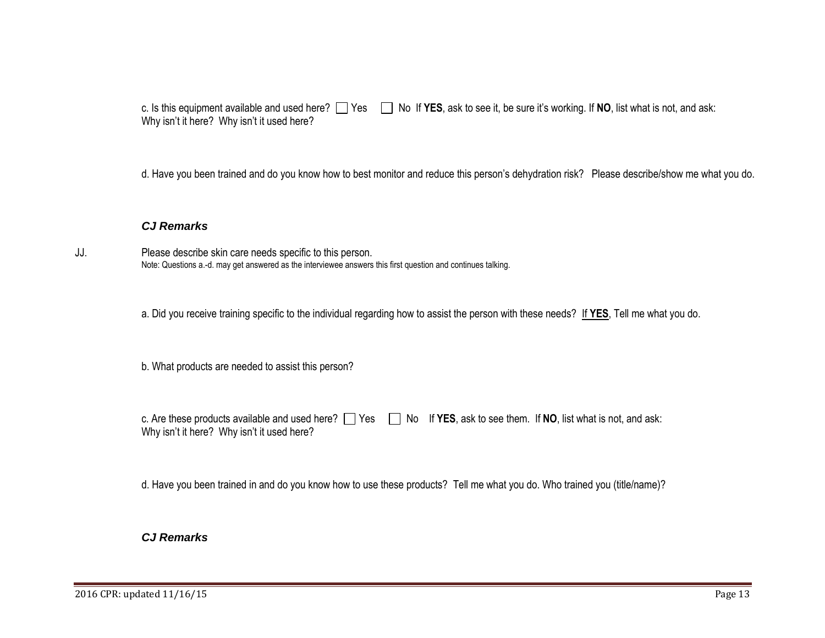c. Is this equipment available and used here?  $\Box$  Yes  $\Box$  No If YES, ask to see it, be sure it's working. If NO, list what is not, and ask: Why isn't it here? Why isn't it used here?

d. Have you been trained and do you know how to best monitor and reduce this person's dehydration risk? Please describe/show me what you do.

## *CJ Remarks*

JJ. Please describe skin care needs specific to this person. Note: Questions a.-d. may get answered as the interviewee answers this first question and continues talking.

a. Did you receive training specific to the individual regarding how to assist the person with these needs? If **YES**, Tell me what you do.

b. What products are needed to assist this person?

| c. Are these products available and used here? $\Box$ Yes $\Box$ No If YES, ask to see them. If NO, list what is not, and ask: |  |  |
|--------------------------------------------------------------------------------------------------------------------------------|--|--|
| Why isn't it here? Why isn't it used here?                                                                                     |  |  |

d. Have you been trained in and do you know how to use these products? Tell me what you do. Who trained you (title/name)?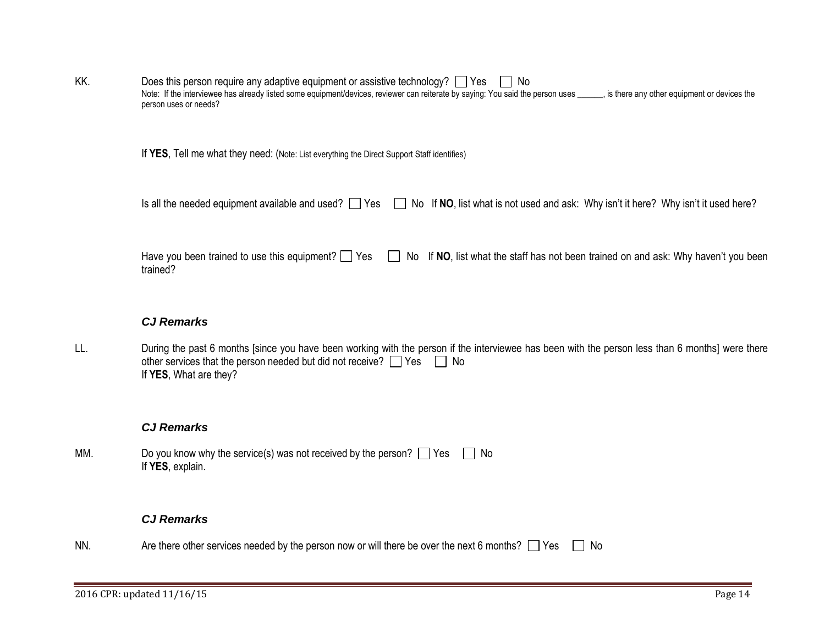| KK. | Does this person require any adaptive equipment or assistive technology? $\Box$ Yes $\Box$                                                                                      |
|-----|---------------------------------------------------------------------------------------------------------------------------------------------------------------------------------|
|     | s is there any other equipment or devices the<br>Note: If the interviewee has already listed some equipment/devices, reviewer can reiterate by saying: You said the person uses |
|     | person uses or needs?                                                                                                                                                           |

If **YES**, Tell me what they need: (Note: List everything the Direct Support Staff identifies)

| l Yes<br>Is all the needed equipment available and used? |  | $\Box$ No If NO, list what is not used and ask: Why isn't it here? Why isn't it used here? |  |  |
|----------------------------------------------------------|--|--------------------------------------------------------------------------------------------|--|--|
|----------------------------------------------------------|--|--------------------------------------------------------------------------------------------|--|--|

Have you been trained to use this equipment? Yes No If NO, list what the staff has not been trained on and ask: Why haven't you been trained?

## *CJ Remarks*

LL. During the past 6 months [since you have been working with the person if the interviewee has been with the person less than 6 months] were there other services that the person needed but did not receive?  $\Box$  Yes  $\Box$  No If **YES**, What are they?

#### *CJ Remarks*

MM. Do you know why the service(s) was not received by the person?  $\Box$  Yes  $\Box$  No If **YES**, explain.

## *CJ Remarks*

NN. Are there other services needed by the person now or will there be over the next 6 months?  $\Box$  Yes  $\Box$  No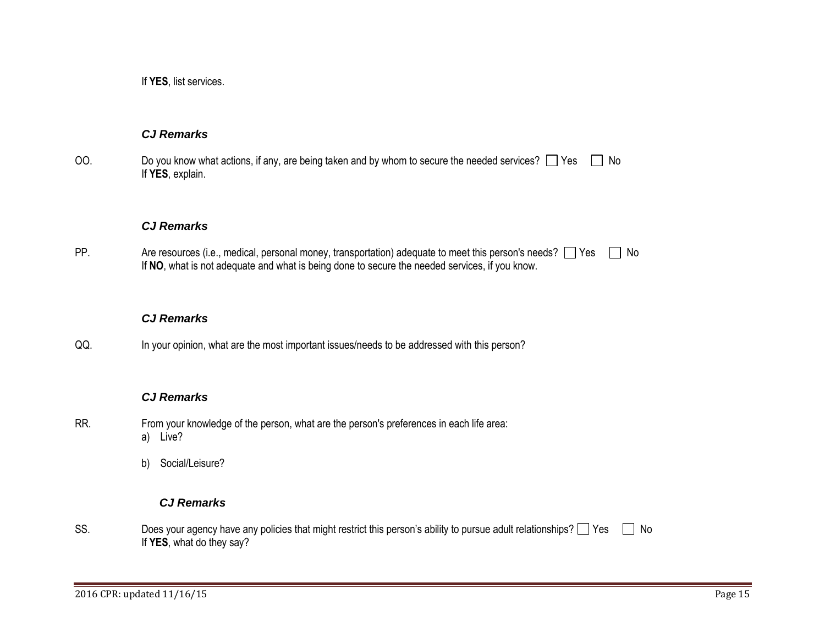If **YES**, list services.

## *CJ Remarks*

OO. Do you know what actions, if any, are being taken and by whom to secure the needed services?  $\Box$  Yes  $\Box$  No If **YES**, explain.

#### *CJ Remarks*

PP. Are resources (i.e., medical, personal money, transportation) adequate to meet this person's needs?  $\Box$  Yes  $\Box$  No If **NO**, what is not adequate and what is being done to secure the needed services, if you know.

## *CJ Remarks*

QQ. In your opinion, what are the most important issues/needs to be addressed with this person?

## *CJ Remarks*

- RR. From your knowledge of the person, what are the person's preferences in each life area: a) Live?
	- b) Social/Leisure?

## *CJ Remarks*

SS. Does your agency have any policies that might restrict this person's ability to pursue adult relationships?  $\Box$  Yes  $\Box$  No If **YES**, what do they say?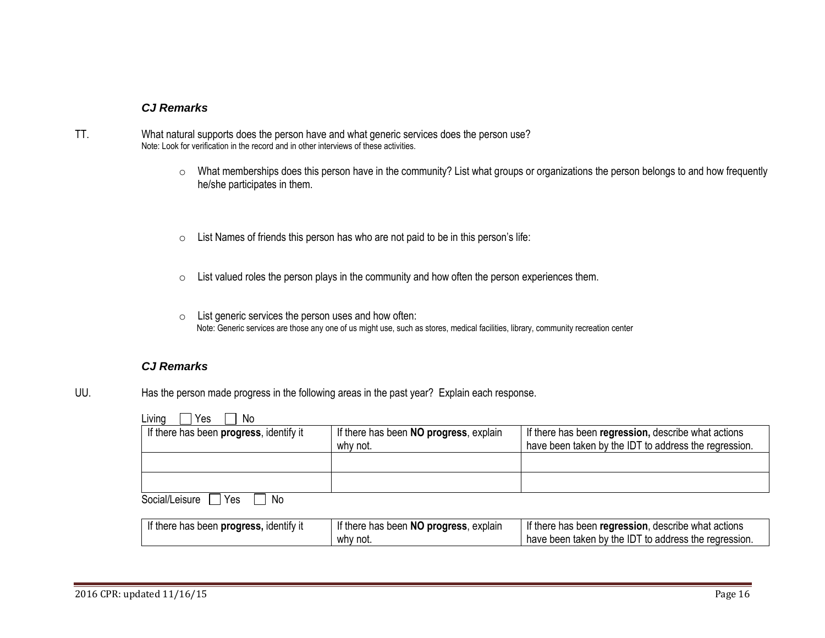#### *CJ Remarks*

- TT. What natural supports does the person have and what generic services does the person use? Note: Look for verification in the record and in other interviews of these activities.
	- o What memberships does this person have in the community? List what groups or organizations the person belongs to and how frequently he/she participates in them.
	- o List Names of friends this person has who are not paid to be in this person's life:
	- o List valued roles the person plays in the community and how often the person experiences them.
	- o List generic services the person uses and how often: Note: Generic services are those any one of us might use, such as stores, medical facilities, library, community recreation center

#### *CJ Remarks*

UU. Has the person made progress in the following areas in the past year? Explain each response.

| Living<br>Yes<br>No                     |                                        |                                                       |
|-----------------------------------------|----------------------------------------|-------------------------------------------------------|
| If there has been progress, identify it | If there has been NO progress, explain | If there has been regression, describe what actions   |
|                                         | why not.                               | have been taken by the IDT to address the regression. |
|                                         |                                        |                                                       |
|                                         |                                        |                                                       |
|                                         |                                        |                                                       |
| Social/Leisure<br>Yes<br>No.            |                                        |                                                       |

| If there has been progress, identify it | If there has been NO progress, explain | If there has been regression, describe what actions   |
|-----------------------------------------|----------------------------------------|-------------------------------------------------------|
|                                         | why not.                               | have been taken by the IDT to address the regression. |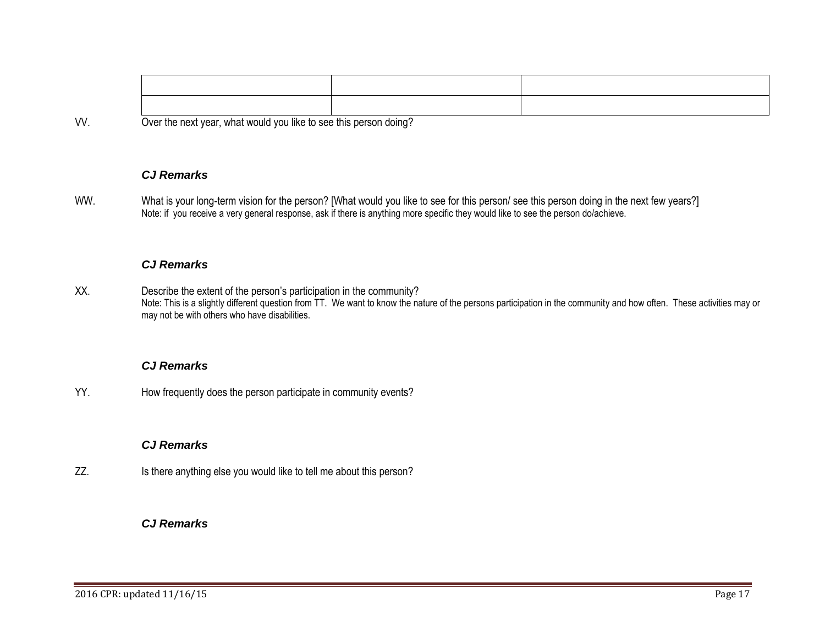VV. Over the next year, what would you like to see this person doing?

## *CJ Remarks*

WW. What is your long-term vision for the person? [What would you like to see for this person/ see this person doing in the next few years?] Note: if you receive a very general response, ask if there is anything more specific they would like to see the person do/achieve.

#### *CJ Remarks*

XX. Describe the extent of the person's participation in the community? Note: This is a slightly different question from TT. We want to know the nature of the persons participation in the community and how often. These activities may or may not be with others who have disabilities.

#### *CJ Remarks*

YY. How frequently does the person participate in community events?

## *CJ Remarks*

ZZ. Is there anything else you would like to tell me about this person?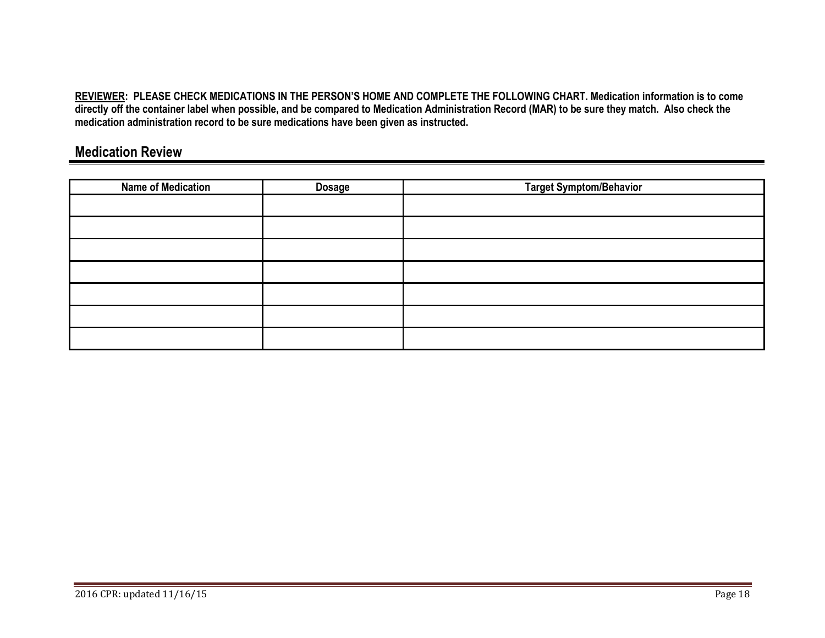**REVIEWER: PLEASE CHECK MEDICATIONS IN THE PERSON'S HOME AND COMPLETE THE FOLLOWING CHART. Medication information is to come directly off the container label when possible, and be compared to Medication Administration Record (MAR) to be sure they match. Also check the medication administration record to be sure medications have been given as instructed.**

# **Medication Review**

<span id="page-17-0"></span>

| <b>Name of Medication</b> | <b>Dosage</b> | <b>Target Symptom/Behavior</b> |
|---------------------------|---------------|--------------------------------|
|                           |               |                                |
|                           |               |                                |
|                           |               |                                |
|                           |               |                                |
|                           |               |                                |
|                           |               |                                |
|                           |               |                                |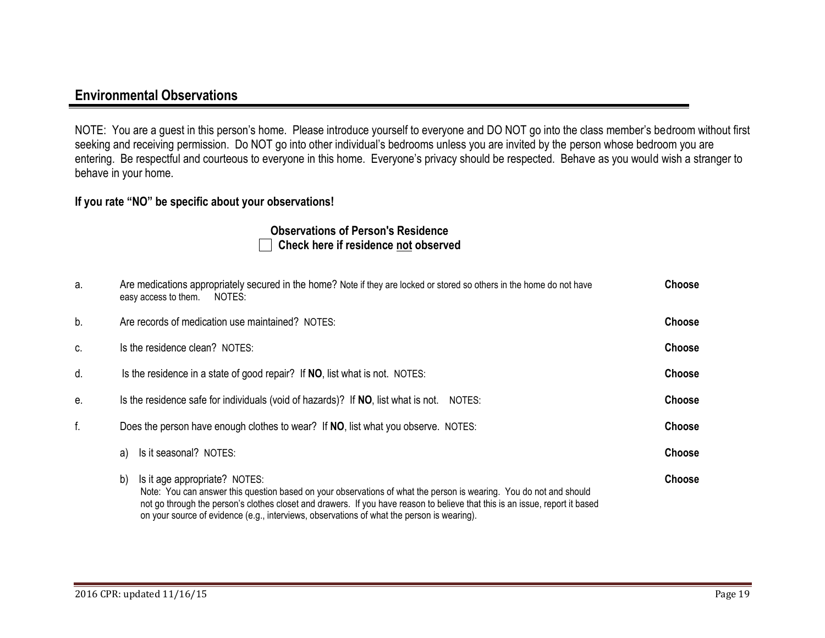# **Environmental Observations**

NOTE: You are a guest in this person's home. Please introduce yourself to everyone and DO NOT go into the class member's bedroom without first seeking and receiving permission. Do NOT go into other individual's bedrooms unless you are invited by the person whose bedroom you are entering. Be respectful and courteous to everyone in this home. Everyone's privacy should be respected. Behave as you would wish a stranger to behave in your home.

## **If you rate "NO" be specific about your observations!**

## **Observations of Person's Residence Check here if residence not observed**

<span id="page-18-0"></span>

| а. | Are medications appropriately secured in the home? Note if they are locked or stored so others in the home do not have<br>easy access to them.<br>NOTES:                                                                                                                                                                                                                                | <b>Choose</b> |
|----|-----------------------------------------------------------------------------------------------------------------------------------------------------------------------------------------------------------------------------------------------------------------------------------------------------------------------------------------------------------------------------------------|---------------|
| b. | Are records of medication use maintained? NOTES:                                                                                                                                                                                                                                                                                                                                        | <b>Choose</b> |
| C. | Is the residence clean? NOTES:                                                                                                                                                                                                                                                                                                                                                          | <b>Choose</b> |
| d. | Is the residence in a state of good repair? If NO, list what is not. NOTES:                                                                                                                                                                                                                                                                                                             | <b>Choose</b> |
| е. | Is the residence safe for individuals (void of hazards)? If NO, list what is not.<br>NOTES:                                                                                                                                                                                                                                                                                             | <b>Choose</b> |
| f. | Does the person have enough clothes to wear? If NO, list what you observe. NOTES:                                                                                                                                                                                                                                                                                                       | <b>Choose</b> |
|    | Is it seasonal? NOTES:<br>a)                                                                                                                                                                                                                                                                                                                                                            | <b>Choose</b> |
|    | Is it age appropriate? NOTES:<br>b)<br>Note: You can answer this question based on your observations of what the person is wearing. You do not and should<br>not go through the person's clothes closet and drawers. If you have reason to believe that this is an issue, report it based<br>on your source of evidence (e.g., interviews, observations of what the person is wearing). | <b>Choose</b> |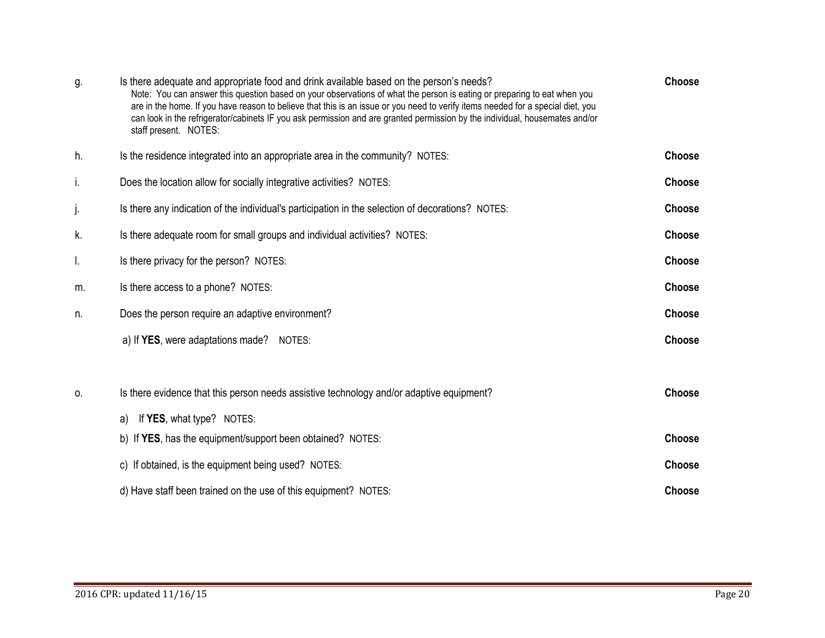| g. | Is there adequate and appropriate food and drink available based on the person's needs?<br>Note: You can answer this question based on your observations of what the person is eating or preparing to eat when you<br>are in the home. If you have reason to believe that this is an issue or you need to verify items needed for a special diet, you<br>can look in the refrigerator/cabinets IF you ask permission and are granted permission by the individual, housemates and/or<br>staff present. NOTES: | <b>Choose</b> |
|----|---------------------------------------------------------------------------------------------------------------------------------------------------------------------------------------------------------------------------------------------------------------------------------------------------------------------------------------------------------------------------------------------------------------------------------------------------------------------------------------------------------------|---------------|
| h. | Is the residence integrated into an appropriate area in the community? NOTES:                                                                                                                                                                                                                                                                                                                                                                                                                                 | <b>Choose</b> |
| i. | Does the location allow for socially integrative activities? NOTES:                                                                                                                                                                                                                                                                                                                                                                                                                                           | Choose        |
| j. | Is there any indication of the individual's participation in the selection of decorations? NOTES:                                                                                                                                                                                                                                                                                                                                                                                                             | <b>Choose</b> |
| k. | Is there adequate room for small groups and individual activities? NOTES:                                                                                                                                                                                                                                                                                                                                                                                                                                     | <b>Choose</b> |
| I. | Is there privacy for the person? NOTES:                                                                                                                                                                                                                                                                                                                                                                                                                                                                       | Choose        |
| m. | Is there access to a phone? NOTES:                                                                                                                                                                                                                                                                                                                                                                                                                                                                            | Choose        |
| n. | Does the person require an adaptive environment?                                                                                                                                                                                                                                                                                                                                                                                                                                                              | Choose        |
|    | a) If YES, were adaptations made?<br>NOTES:                                                                                                                                                                                                                                                                                                                                                                                                                                                                   | Choose        |
|    |                                                                                                                                                                                                                                                                                                                                                                                                                                                                                                               |               |
| 0. | Is there evidence that this person needs assistive technology and/or adaptive equipment?                                                                                                                                                                                                                                                                                                                                                                                                                      | Choose        |
|    | If <b>YES</b> , what type? NOTES:<br>a)                                                                                                                                                                                                                                                                                                                                                                                                                                                                       |               |
|    | b) If YES, has the equipment/support been obtained? NOTES:                                                                                                                                                                                                                                                                                                                                                                                                                                                    | Choose        |
|    | c) If obtained, is the equipment being used? NOTES:                                                                                                                                                                                                                                                                                                                                                                                                                                                           | Choose        |
|    | d) Have staff been trained on the use of this equipment? NOTES:                                                                                                                                                                                                                                                                                                                                                                                                                                               | <b>Choose</b> |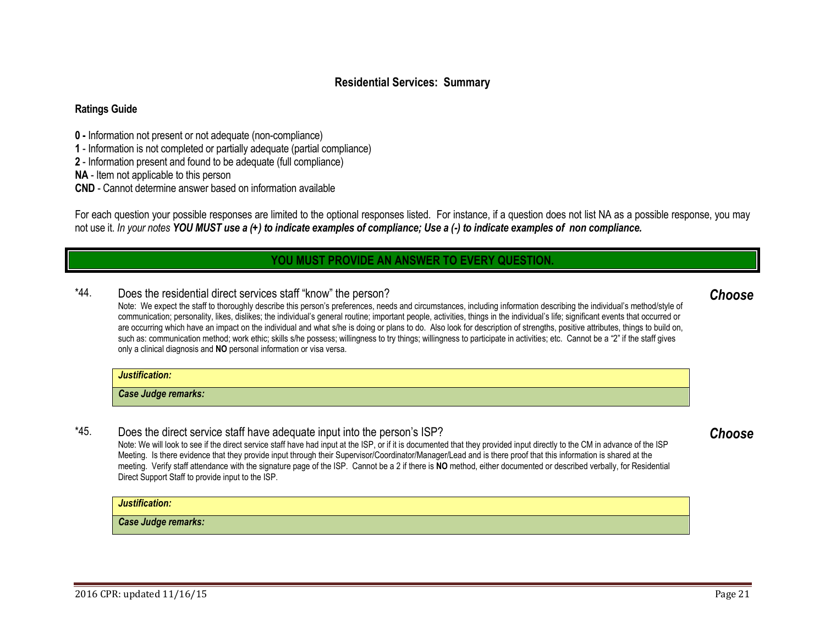## **Residential Services: Summary**

#### **Ratings Guide**

- **0 -** Information not present or not adequate (non-compliance)
- **1** Information is not completed or partially adequate (partial compliance)
- **2** Information present and found to be adequate (full compliance)

**NA** - Item not applicable to this person

**CND** - Cannot determine answer based on information available

For each question your possible responses are limited to the optional responses listed. For instance, if a question does not list NA as a possible response, you may not use it. *In your notes YOU MUST use a (+) to indicate examples of compliance; Use a (-) to indicate examples of non compliance.*

## **YOU MUST PROVIDE AN ANSWER TO EVERY QUESTION.**

## <span id="page-20-0"></span>\*44. Does the residential direct services staff "know" the person?

Note: We expect the staff to thoroughly describe this person's preferences, needs and circumstances, including information describing the individual's method/style of communication; personality, likes, dislikes; the individual's general routine; important people, activities, things in the individual's life; significant events that occurred or are occurring which have an impact on the individual and what s/he is doing or plans to do. Also look for description of strengths, positive attributes, things to build on, such as: communication method; work ethic; skills s/he possess; willingness to try things; willingness to participate in activities; etc. Cannot be a "2" if the staff gives only a clinical diagnosis and **NO** personal information or visa versa.

#### *Justification:*

*Case Judge remarks:* 

## \*45. Does the direct service staff have adequate input into the person's ISP?

Note: We will look to see if the direct service staff have had input at the ISP, or if it is documented that they provided input directly to the CM in advance of the ISP Meeting. Is there evidence that they provide input through their Supervisor/Coordinator/Manager/Lead and is there proof that this information is shared at the meeting. Verify staff attendance with the signature page of the ISP. Cannot be a 2 if there is **NO** method, either documented or described verbally, for Residential Direct Support Staff to provide input to the ISP.

#### *Justification:*

*Case Judge remarks:* 

# <span id="page-20-2"></span><span id="page-20-1"></span>*Choose*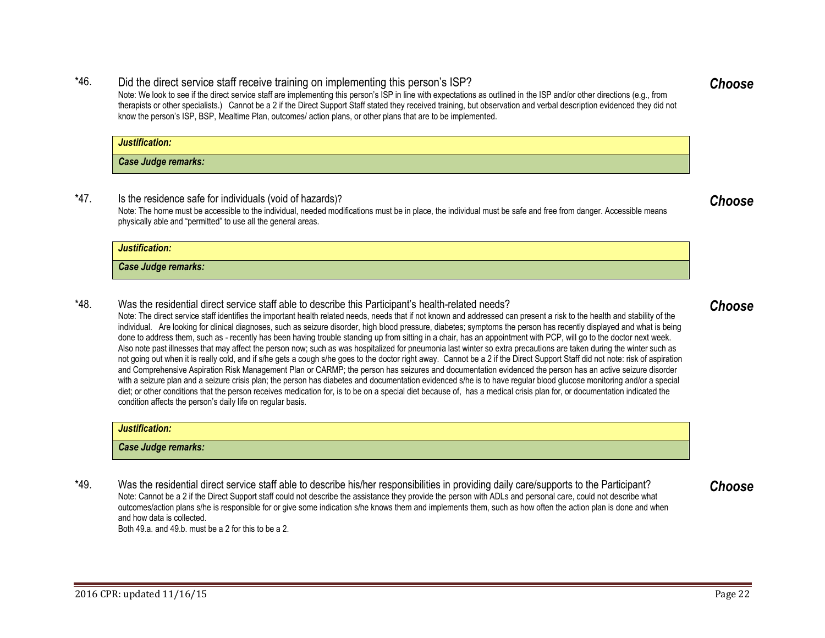## \*46. Did the direct service staff receive training on implementing this person's ISP?

Note: We look to see if the direct service staff are implementing this person's ISP in line with expectations as outlined in the ISP and/or other directions (e.g., from therapists or other specialists.) Cannot be a 2 if the Direct Support Staff stated they received training, but observation and verbal description evidenced they did not know the person's ISP, BSP, Mealtime Plan, outcomes/ action plans, or other plans that are to be implemented.

| Justification:      |  |
|---------------------|--|
| Case Judge remarks: |  |

\*47. Is the residence safe for individuals (void of hazards)? Note: The home must be accessible to the individual, needed modifications must be in place, the individual must be safe and free from danger. Accessible means physically able and "permitted" to use all the general areas.

| Justification:             |  |
|----------------------------|--|
| <b>Case Judge remarks:</b> |  |

\*48. Was the residential direct service staff able to describe this Participant's health-related needs?

Note: The direct service staff identifies the important health related needs, needs that if not known and addressed can present a risk to the health and stability of the individual. Are looking for clinical diagnoses, such as seizure disorder, high blood pressure, diabetes; symptoms the person has recently displayed and what is being done to address them, such as - recently has been having trouble standing up from sitting in a chair, has an appointment with PCP, will go to the doctor next week. Also note past illnesses that may affect the person now; such as was hospitalized for pneumonia last winter so extra precautions are taken during the winter such as not going out when it is really cold, and if s/he gets a cough s/he goes to the doctor right away. Cannot be a 2 if the Direct Support Staff did not note: risk of aspiration and Comprehensive Aspiration Risk Management Plan or CARMP; the person has seizures and documentation evidenced the person has an active seizure disorder with a seizure plan and a seizure crisis plan; the person has diabetes and documentation evidenced s/he is to have regular blood glucose monitoring and/or a special diet; or other conditions that the person receives medication for, is to be on a special diet because of, has a medical crisis plan for, or documentation indicated the condition affects the person's daily life on regular basis.

## *Justification:*

*Case Judge remarks:* 

\*49. Was the residential direct service staff able to describe his/her responsibilities in providing daily care/supports to the Participant? Note: Cannot be a 2 if the Direct Support staff could not describe the assistance they provide the person with ADLs and personal care, could not describe what outcomes/action plans s/he is responsible for or give some indication s/he knows them and implements them, such as how often the action plan is done and when and how data is collected. Both 49.a. and 49.b. must be a 2 for this to be a 2.

## <span id="page-21-0"></span>*Choose*

<span id="page-21-3"></span><span id="page-21-1"></span>*Choose*

## <span id="page-21-2"></span>*Choose*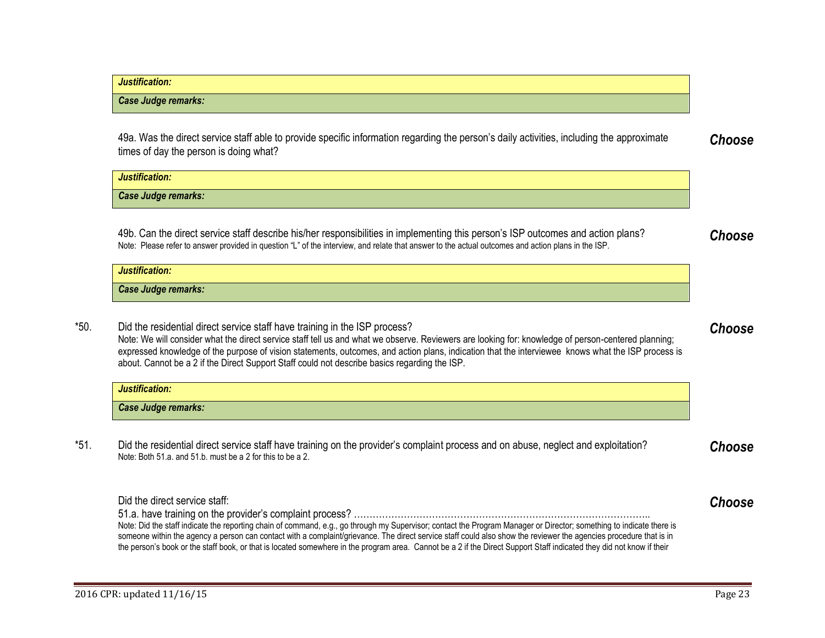| Justification:      |  |
|---------------------|--|
| Case Judge remarks: |  |
|                     |  |

49a. Was the direct service staff able to provide specific information regarding the person's daily activities, including the approximate times of day the person is doing what? *Choose*

*Justification: Case Judge remarks:* 

49b. Can the direct service staff describe his/her responsibilities in implementing this person's ISP outcomes and action plans? Note: Please refer to answer provided in question "L" of the interview, and relate that answer to the actual outcomes and action plans in the ISP.

| lustification:      |
|---------------------|
| Case Judge remarks: |

\*50. Did the residential direct service staff have training in the ISP process? Note: We will consider what the direct service staff tell us and what we observe. Reviewers are looking for: knowledge of person-centered planning; expressed knowledge of the purpose of vision statements, outcomes, and action plans, indication that the interviewee knows what the ISP process is about. Cannot be a 2 if the Direct Support Staff could not describe basics regarding the ISP.

| lustification:      |  |
|---------------------|--|
| Case Judge remarks: |  |

\*51. Did the residential direct service staff have training on the provider's complaint process and on abuse, neglect and exploitation? Note: Both 51.a. and 51.b. must be a 2 for this to be a 2.

Did the direct service staff: 51.a. have training on the provider's complaint process? ………………………………………………………………………………….. Note: Did the staff indicate the reporting chain of command, e.g., go through my Supervisor; contact the Program Manager or Director; something to indicate there is someone within the agency a person can contact with a complaint/grievance. The direct service staff could also show the reviewer the agencies procedure that is in the person's book or the staff book, or that is located somewhere in the program area. Cannot be a 2 if the Direct Support Staff indicated they did not know if their *Choose*

*Choose*

<span id="page-22-1"></span><span id="page-22-0"></span>*Choose*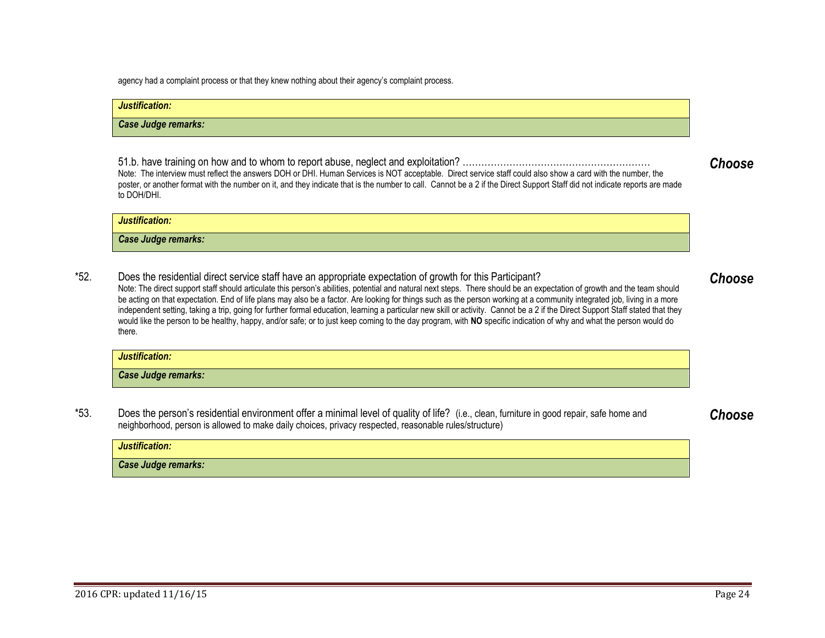*Justification:* 

*Case Judge remarks:* 

agency had a complaint process or that they knew nothing about their agency's complaint process.

## *Justification: Case Judge remarks:*

51.b. have training on how and to whom to report abuse, neglect and exploitation? …………………………………………………… Note: The interview must reflect the answers DOH or DHI. Human Services is NOT acceptable. Direct service staff could also show a card with the number, the poster, or another format with the number on it, and they indicate that is the number to call. Cannot be a 2 if the Direct Support Staff did not indicate reports are made to DOH/DHI.

\*52. Does the residential direct service staff have an appropriate expectation of growth for this Participant? Note: The direct support staff should articulate this person's abilities, potential and natural next steps. There should be an expectation of growth and the team should be acting on that expectation. End of life plans may also be a factor. Are looking for things such as the person working at a community integrated job, living in a more independent setting, taking a trip, going for further formal education, learning a particular new skill or activity. Cannot be a 2 if the Direct Support Staff stated that they would like the person to be healthy, happy, and/or safe; or to just keep coming to the day program, with NO specific indication of why and what the person would do there.

| Justification:      |  |
|---------------------|--|
| Case Judge remarks: |  |

\*53. Does the person's residential environment offer a minimal level of quality of life? (i.e., clean, furniture in good repair, safe home and neighborhood, person is allowed to make daily choices, privacy respected, reasonable rules/structure)

| Justification:      |  |
|---------------------|--|
| Case Judge remarks: |  |

<span id="page-23-1"></span><span id="page-23-0"></span>*Choose*

*Choose*